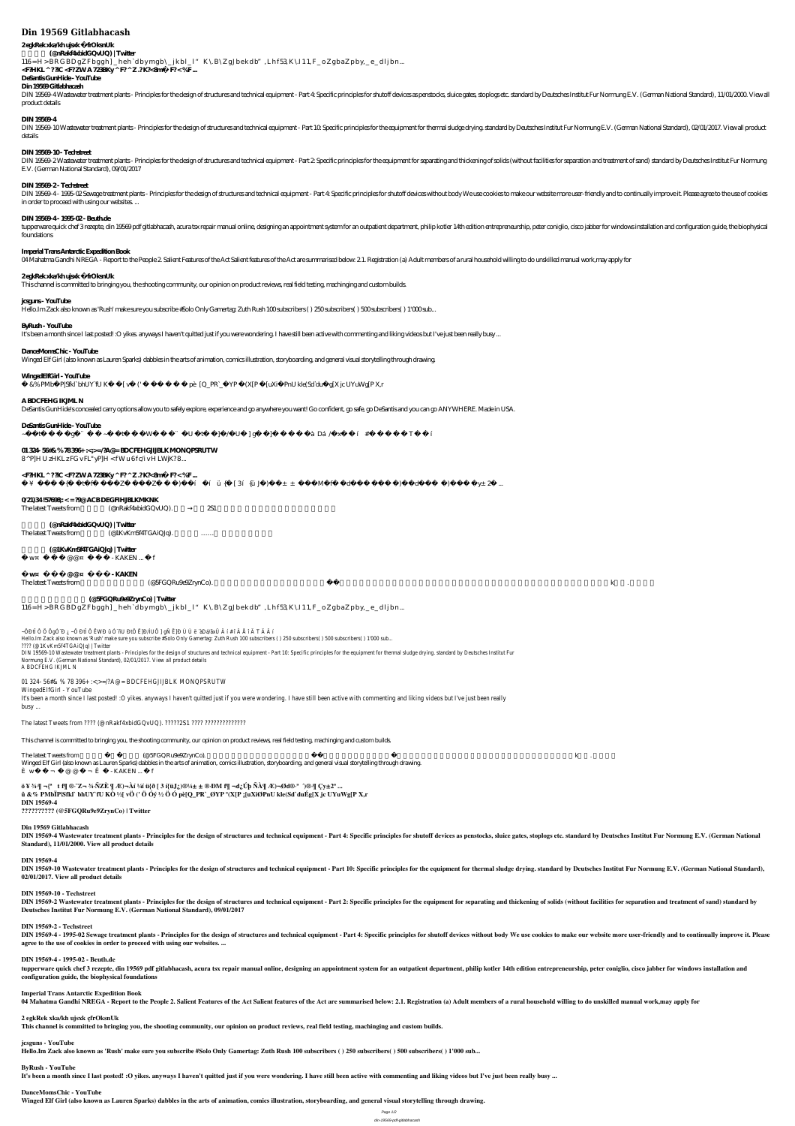# **Din 19569 Gitlabhacash**

## 2 egkRek xka/kh ujsxk çfrOksnUk

# **上田凱斗 (@nRakf4xbidGQvUQ) | Twitter**

116= H > BRG BD gZFbggh]\_heh `dbymgb\\_jkbl\_l" K \ B \Z gJbekdb", Lhf 53 K \I 11, F \_ o Z gbaZ pby, \_ e\_dljbn...

<F.HKL ^ ??IC <F?ZWA 723BKy ^ F? ^ Z .?K?<8m<sup>?</sup> F?< %F...

# **DeSantis GunHide - YouTube**

DIN 19569-4 Wastewater treatment plants- Principles for the design of structures and technical equipment - Part 4: Specific principles for shutoff devices as penstocks, sluice gates, stoplogs etc. standard by Deutsches Ins product details

**Din 19569 Gitlabhacash**

DIN 19569-10 Wastewater treatment plants - Principles for the design of structures and technical equipment - Part 10. Specific principles for the equipment for thermal sludge drying, standard by Deutsches Institut Fur Norm details

DIN 19569-2 Wastewater treatment plants - Principles for the design of structures and technical equipment - Part 2. Specific principles for the equipment for separating and thickening of solids (without facilities for sepa E.V. (German National Standard), 09/01/2017

### **DIN 19569-4**

DIN 19569-4-1995-02 Sewage treatment plants- Principles for the design of structures and technical equipment - Part 4: Specific principles for shutoff devices without body We use cookies to make our website more user-frien in order to proceed with using our websites. ...

### **DIN 19569-10 - Techstreet**

tupperware quick chef 3 rezepte, din 19569 pdf gitlabhacash, acura tsx repair manual online, designing an appointment system for an outpatient department, philip kotler 14th edition entrepreneurship, peter coniglio, cisco foundations

### **DIN 19569-2 - Techstreet**

### **DIN 19569-4 - 1995-02 - Beuth.de**

**È w ¤ ï ¬ Æ @ @ ¤ ¬ Ê ñ - KAKEN** The latest Tweets from  $($  @5FGQRu9e9ZrynCo).  $\,$   $\,$  .  $\,$ 

### **Imperial Trans Antarctic Expedition Book**

04 Mahatma Gandhi NREGA - Report to the People 2 Salient Features of the Act Salient features of the Act are summarised below. 2.1. Registration (a) Adult members of a rural household willing to do unskilled manual work, m

### **2 egkRek xka/kh ujsxk çfrOksnUk**

This channel is committed to bringing you, the shooting community, our opinion on product reviews, real field testing, machinging and custom builds.

### **jcsguns - YouTube**

 $-$ ÖÐtÎ Ô Ö ÕgÓ Đ $i$ ,  $-$ Ö ÐtÎ Ô ËWÐ û Ó ñU ÐtÔ Ë]Đ/ÌUÕ ] gÑ Ë}Ð Ù Ù ë ´àDá/ãxÛ Â í # î Â Å î Ä T Ä Å í Hello.Im Zack also known as 'Rush' make sure you subscribe #Solo Only Gamertag: Zuth Rush 100 subscribers ( ) 250 subscribers( ) 500 subscribers( ) 1'000 sub... ???? (@1KvKm5f4TGAiQJq) | Twitter DIN 19569-10 Wastewater treatment plants - Principles for the design of structures and technical equipment - Part 10: Specific principles for the equipment for thermal sludge drying. standard by Deutsches Institut Fur Normung E.V. (German National Standard), 02/01/2017. View all product details A BDCFEHG IKJML N

Hello.Im Zack also known as 'Rush' make sure you subscribe #Solo Only Gamertag: Zuth Rush 100 subscribers ( ) 250 subscribers( ) 500 subscribers( ) 1'000 sub...

### **ByRush - YouTube**

It's been a month since I last posted! :O yikes anyways I haven't quitted just if you were wondering. I have still been active with commenting and liking videos but I've just been really busy ...

### **DanceMomsChic - YouTube**

Winged Elf Girl (also known as Lauren Sparks) dabbles in the arts of animation, comics illustration, storyboarding, and general visual storytelling through drawing.

### **WingedElfGirl - YouTube**

û &% PMbÏ P|Sfkl` bhUY`fU KÒ ½[ vÖ (' Ö Óý ½ Ö Ó pè[Q\_PR`\_ØYP °(X[P ; [uXiØPnU kle(Sd`duÉg[X jc UYuWg[P X,r

### **A BDCFEHG IKJML N**

DIN 19569-4 Wastewater treatment plants - Principles for the design of structures and technical equipment - Part 4: Specific principles for shutoff devices as penstocks, sluice gates, stoplogs etc. standard by Deutsches In **Standard), 11/01/2000. View all product details**

DeSantis GunHide's concealed carry options allow you to safely explore, experience and go anywhere you want! Go confident, go safe, go DeSantis and you can go ANYWHERE. Made in USA.

DIN 19569-10 Wastewater treatment plants - Principles for the design of structures and technical equipment - Part 10: Specific principles for the equipment for thermal sludge drying. standard by Deutsches Institut Fur Norm **02/01/2017. View all product details**

### **DeSantis GunHide - YouTube**

~ÖĐtÎ Ô Ö Õ gÓ ¨ Đ ¿ ~Ö Đ tÎ Ô Ë WĐ û Ó ¨ ñ U Đ tÔ Ë ]Đ  $\dot{\Lambda}$  UÕ ] gÑ Ë ]Đ Ù Ù ë ´ à Dá ⁄ã xÛ Â í #î Å î Ä T Ä Â í

### **01 324- 56#& % 78 396+ :<;>=/?A@= BDCFEHGJIJBLK MONQPSRUTW**

8^P]H U zHKL z FG v FL" yP]H < fW u 6f c i v H LWjK?8...

### <F.HKL ^ ??IC <F?ZWA 723BKy ^ F? ^ Z .?K?<8m<sup>2</sup> F?< %F...

ö ¥ ¾·  $\P$  ¬{<sup>a</sup> µt<sup>2</sup>  $f\P$  ®·  $Z$ ¬ ¾· ÑZÈ  $\P$  Æ)¬Àí ¼í ü{ð [3í {ü J¿)®¼ $\pm \pm$  ®· ĐM<sup>2</sup>  $f\P$  ¬d¿ Úþ ÑÀ  $\P$  Æ)¬Ød®· <sup>a</sup> ´)®·  $\P$  Ç y $\pm$  2<sup>a</sup> ...

DIN 19569-2 Wastewater treatment plants - Principles for the design of structures and technical equipment - Part 2: Specific principles for the equipment for separating and thickening of solids (without facilities for sepa **Deutsches Institut Fur Normung E.V. (German National Standard), 09/01/2017**

DIN 19569-4 - 1995-02 Sewage treatment plants - Principles for the design of structures and technical equipment - Part 4: Specific principles for shutoff devices without body We use cookies to make our website more user-fr **agree to the use of cookies in order to proceed with using our websites. ...**

### **0/21)34 !57698;: < = ?9@ ACB DEGFIHJBLKMKNK**

The latest Tweets from  $(@nRakf4xbidGQvUQ).$   $251$ 

tupperware quick chef 3 rezepte, din 19569 pdf gitlabhacash, acura tsx repair manual online, designing an appointment system for an outpatient department, philip kotler 14th edition entrepreneurship, peter coniglio, cisco **configuration guide, the biophysical foundations**

# **上田凱斗 (@nRakf4xbidGQvUQ) | Twitter**

The latest Tweets from  $@1KvKm5f4TGAiQJq$ .  $\ldots$ 

### **初春提督 (@1KvKm5f4TGAiQJq) | Twitter**

È w¤ ï ¬  $\angle E$  @  $\cong$  ¬  $\angle E$  ñ - KAKEN ... Ô f

### **四葉環担当王様プリン (@5FGQRu9e9ZrynCo) | Twitter**

 $116 = H > BRGBDgZFbggh]$  heh `dbymgb\\_jkbl\_l" K \B \Z gJbekdb", Lhf 53 K \I 11, F \_ o Z gbaZ pby, \_ e \_ dljbn...

### 01 324- 56#& % 78 396+ :<;>=/?A@= BDCFEHGJIJBLK MONQPSRUTW

WingedElfGirl - YouTube It's been a month since I last posted! :O yikes. anyways I haven't quitted just if you were wondering. I have still been active with commenting and liking videos but I've just been really busy ...

### The latest Tweets from ???? (@nRakf4xbidGQvUQ). ?????2S1 ???? ???????????????????

This channel is committed to bringing you, the shooting community, our opinion on product reviews, real field testing, machinging and custom builds.

The latest Tweets from 2012 (@5FGQRu9e9ZrynCo). Research to the constraints of the constraints of the constraints of the constant of the constraints of the constraints of the constant of the constant of the constant of the Winged Elf Girl (also known as Lauren Sparks) dabbles in the arts of animation, comics illustration, storyboarding, and general visual storytelling through drawing. È w $\overline{v}$   $\overline{v}$   $\overline{v}$   $\overline{w}$   $\overline{w}$   $\overline{w}$   $\overline{w}$   $\overline{w}$   $\overline{w}$   $\overline{w}$   $\overline{w}$   $\overline{w}$   $\overline{w}$   $\overline{w}$   $\overline{w}$   $\overline{w}$   $\overline{w}$   $\overline{w}$   $\overline{w}$   $\overline{w}$   $\overline{w}$   $\overline{w}$   $\overline{w}$   $\overline{w}$   $\$ 

**ö ¥ ¾·¶ ¬{ª µt²f¶ ®·¯Z¬ ¾·ÑZÈ ¶ Æ)¬Àí ¼í ü{ð [ 3 í{üJ¿)®¼± ± ®·ÐM²f¶ ¬d¿Úþ ÑÀ¶ Æ)¬Ød®·ª ´)®·¶ Çy±2ª ... û &% PMbÏP|Sfkl` bhUY`fU KÒ ½[ vÖ (' Ö Óý ½ Ö Ó pè[Q\_PR`\_ØYP º(X[P ¡[uXiØPnU kle(Sd`duÉg[X jc UYuWg[P X,r DIN 19569-4 ?????????? (@5FGQRu9e9ZrynCo) | Twitter**

### **Din 19569 Gitlabhacash**

### **DIN 19569-4**

### **DIN 19569-10 - Techstreet**

### **DIN 19569-2 - Techstreet**

### **DIN 19569-4 - 1995-02 - Beuth.de**

### **Imperial Trans Antarctic Expedition Book**

04 Mahatma Gandhi NREGA - Report to the People 2. Salient Features of the Act Salient features of the Act are summarised below: 2.1. Registration (a) Adult members of a rural household willing to do unskilled manual work,

**2 egkRek xka/kh ujsxk çfrOksnUk This channel is committed to bringing you, the shooting community, our opinion on product reviews, real field testing, machinging and custom builds.**

### **jcsguns - YouTube**

**Hello.Im Zack also known as 'Rush' make sure you subscribe #Solo Only Gamertag: Zuth Rush 100 subscribers ( ) 250 subscribers( ) 500 subscribers( ) 1'000 sub...**

### **ByRush - YouTube**

**It's been a month since I last posted! :O yikes. anyways I haven't quitted just if you were wondering. I have still been active with commenting and liking videos but I've just been really busy ...**

### **DanceMomsChic - YouTube**

**Winged Elf Girl (also known as Lauren Sparks) dabbles in the arts of animation, comics illustration, storyboarding, and general visual storytelling through drawing.**

Page 1/2